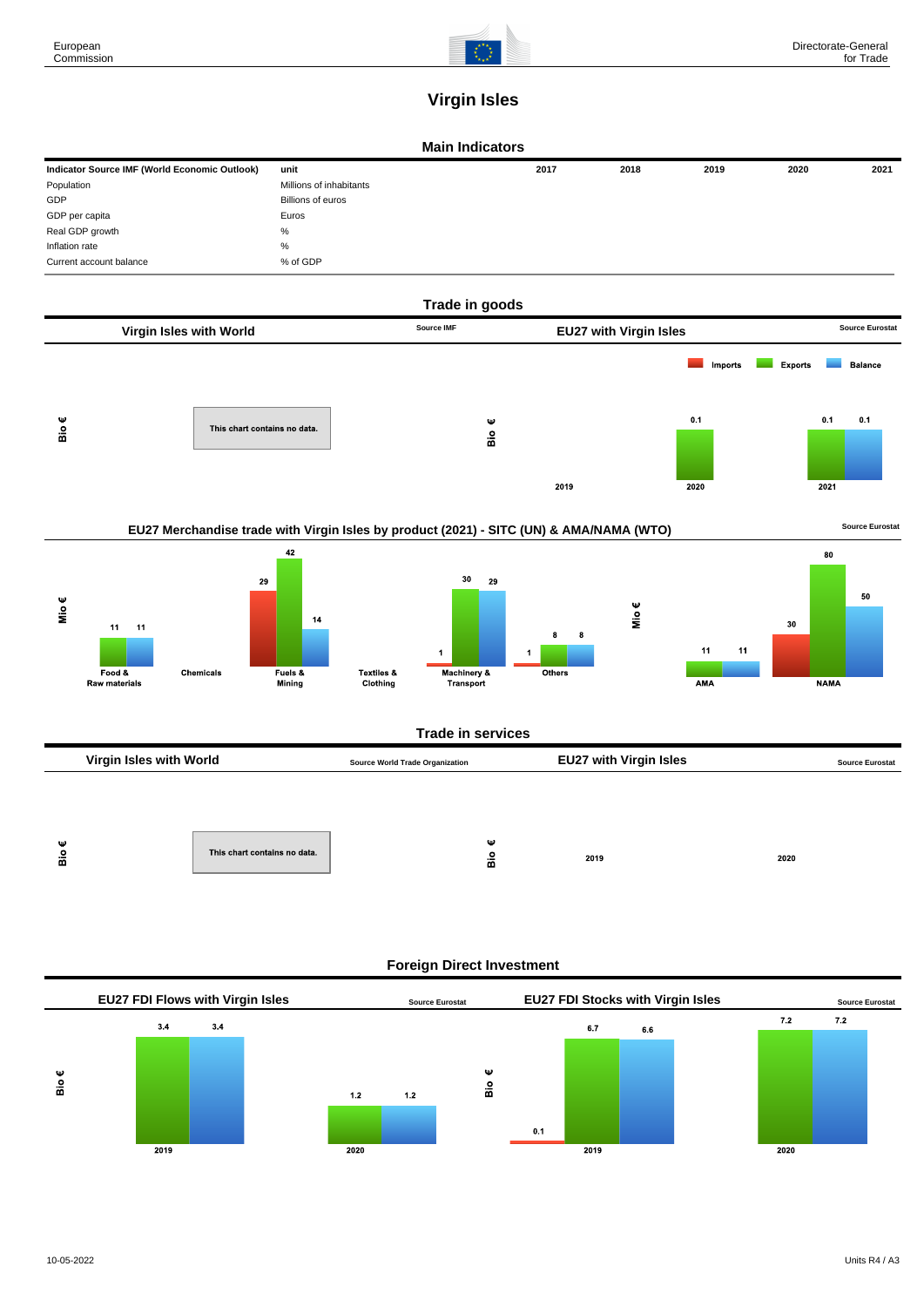

## **Virgin Isles**

## **Main Indicators**

| Indicator Source IMF (World Economic Outlook) | unit                    | 2017 | 2018 | 2019 | 2020 | 2021 |
|-----------------------------------------------|-------------------------|------|------|------|------|------|
| Population                                    | Millions of inhabitants |      |      |      |      |      |
| GDP                                           | Billions of euros       |      |      |      |      |      |
| GDP per capita                                | Euros                   |      |      |      |      |      |
| Real GDP growth                               | %                       |      |      |      |      |      |
| Inflation rate                                | %                       |      |      |      |      |      |
| Current account balance                       | % of GDP                |      |      |      |      |      |



| -cu a<br>This chart contains no data.<br>2019<br>2020<br>മ |
|------------------------------------------------------------|
|------------------------------------------------------------|

## **Foreign Direct Investment**